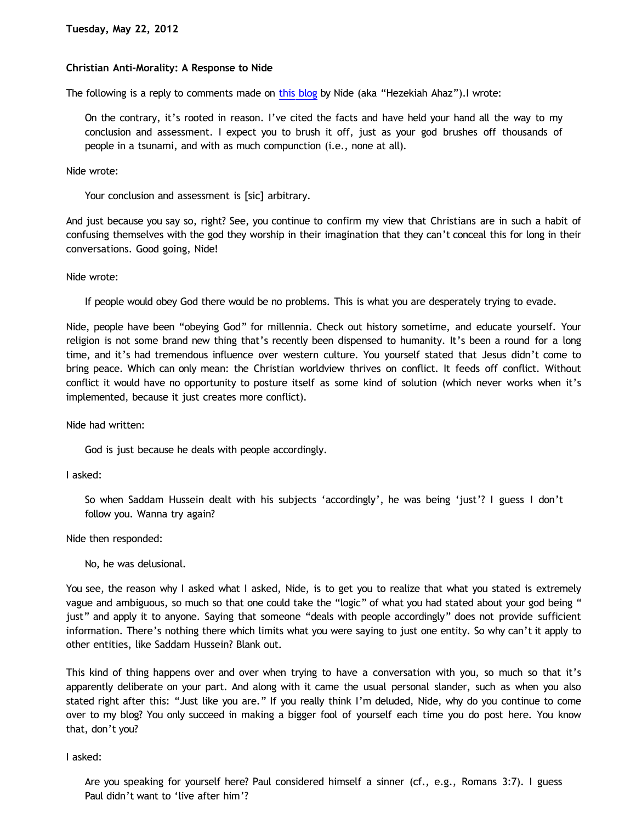## **Christian Anti-Morality: A Response to Nide**

The following is a reply to comments made on [this blog](http://www.blogger.com/) by Nide (aka "Hezekiah Ahaz").I wrote:

On the contrary, it's rooted in reason. I've cited the facts and have held your hand all the way to my conclusion and assessment. I expect you to brush it off, just as your god brushes off thousands of people in a tsunami, and with as much compunction (i.e., none at all).

Nide wrote:

Your conclusion and assessment is [sic] arbitrary.

And just because you say so, right? See, you continue to confirm my view that Christians are in such a habit of confusing themselves with the god they worship in their imagination that they can't conceal this for long in their conversations. Good going, Nide!

Nide wrote:

If people would obey God there would be no problems. This is what you are desperately trying to evade.

Nide, people have been "obeying God" for millennia. Check out history sometime, and educate yourself. Your religion is not some brand new thing that's recently been dispensed to humanity. It's been a round for a long time, and it's had tremendous influence over western culture. You yourself stated that Jesus didn't come to bring peace. Which can only mean: the Christian worldview thrives on conflict. It feeds off conflict. Without conflict it would have no opportunity to posture itself as some kind of solution (which never works when it's implemented, because it just creates more conflict).

Nide had written:

God is just because he deals with people accordingly.

I asked:

So when Saddam Hussein dealt with his subjects 'accordingly', he was being 'just'? I guess I don't follow you. Wanna try again?

Nide then responded:

No, he was delusional.

You see, the reason why I asked what I asked, Nide, is to get you to realize that what you stated is extremely vague and ambiguous, so much so that one could take the "logic" of what you had stated about your god being " just" and apply it to anyone. Saying that someone "deals with people accordingly" does not provide sufficient information. There's nothing there which limits what you were saying to just one entity. So why can't it apply to other entities, like Saddam Hussein? Blank out.

This kind of thing happens over and over when trying to have a conversation with you, so much so that it's apparently deliberate on your part. And along with it came the usual personal slander, such as when you also stated right after this: "Just like you are." If you really think I'm deluded, Nide, why do you continue to come over to my blog? You only succeed in making a bigger fool of yourself each time you do post here. You know that, don't you?

I asked:

Are you speaking for yourself here? Paul considered himself a sinner (cf., e.g., Romans 3:7). I guess Paul didn't want to 'live after him'?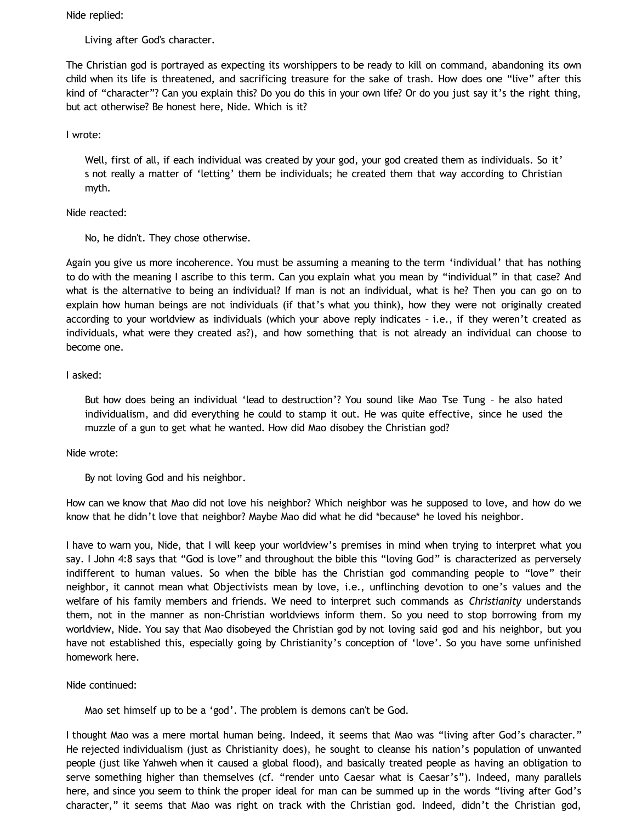Nide replied:

Living after God's character.

The Christian god is portrayed as expecting its worshippers to be ready to kill on command, abandoning its own child when its life is threatened, and sacrificing treasure for the sake of trash. How does one "live" after this kind of "character"? Can you explain this? Do you do this in your own life? Or do you just say it's the right thing, but act otherwise? Be honest here, Nide. Which is it?

# I wrote:

Well, first of all, if each individual was created by your god, your god created them as individuals. So it' s not really a matter of 'letting' them be individuals; he created them that way according to Christian myth.

## Nide reacted:

No, he didn't. They chose otherwise.

Again you give us more incoherence. You must be assuming a meaning to the term 'individual' that has nothing to do with the meaning I ascribe to this term. Can you explain what you mean by "individual" in that case? And what is the alternative to being an individual? If man is not an individual, what is he? Then you can go on to explain how human beings are not individuals (if that's what you think), how they were not originally created according to your worldview as individuals (which your above reply indicates – i.e., if they weren't created as individuals, what were they created as?), and how something that is not already an individual can choose to become one.

## I asked:

But how does being an individual 'lead to destruction'? You sound like Mao Tse Tung – he also hated individualism, and did everything he could to stamp it out. He was quite effective, since he used the muzzle of a gun to get what he wanted. How did Mao disobey the Christian god?

### Nide wrote:

By not loving God and his neighbor.

How can we know that Mao did not love his neighbor? Which neighbor was he supposed to love, and how do we know that he didn't love that neighbor? Maybe Mao did what he did \*because\* he loved his neighbor.

I have to warn you, Nide, that I will keep your worldview's premises in mind when trying to interpret what you say. I John 4:8 says that "God is love" and throughout the bible this "loving God" is characterized as perversely indifferent to human values. So when the bible has the Christian god commanding people to "love" their neighbor, it cannot mean what Objectivists mean by love, i.e., unflinching devotion to one's values and the welfare of his family members and friends. We need to interpret such commands as *Christianity* understands them, not in the manner as non-Christian worldviews inform them. So you need to stop borrowing from my worldview, Nide. You say that Mao disobeyed the Christian god by not loving said god and his neighbor, but you have not established this, especially going by Christianity's conception of 'love'. So you have some unfinished homework here.

Nide continued:

Mao set himself up to be a 'god'. The problem is demons can't be God.

I thought Mao was a mere mortal human being. Indeed, it seems that Mao was "living after God's character." He rejected individualism (just as Christianity does), he sought to cleanse his nation's population of unwanted people (just like Yahweh when it caused a global flood), and basically treated people as having an obligation to serve something higher than themselves (cf. "render unto Caesar what is Caesar's"). Indeed, many parallels here, and since you seem to think the proper ideal for man can be summed up in the words "living after God's character," it seems that Mao was right on track with the Christian god. Indeed, didn't the Christian god,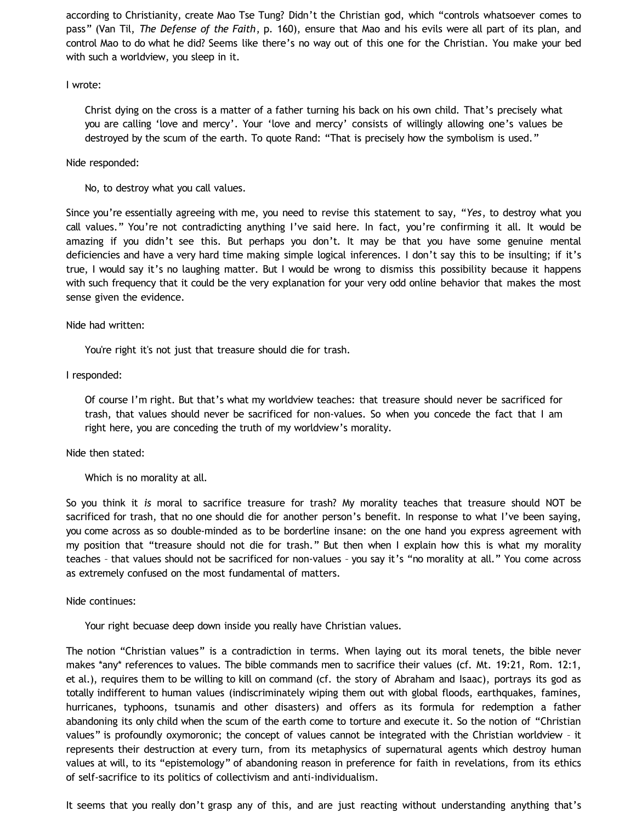according to Christianity, create Mao Tse Tung? Didn't the Christian god, which "controls whatsoever comes to pass" (Van Til, *The Defense of the Faith*, p. 160), ensure that Mao and his evils were all part of its plan, and control Mao to do what he did? Seems like there's no way out of this one for the Christian. You make your bed with such a worldview, you sleep in it.

### I wrote:

Christ dying on the cross is a matter of a father turning his back on his own child. That's precisely what you are calling 'love and mercy'. Your 'love and mercy' consists of willingly allowing one's values be destroyed by the scum of the earth. To quote Rand: "That is precisely how the symbolism is used."

## Nide responded:

No, to destroy what you call values.

Since you're essentially agreeing with me, you need to revise this statement to say, "*Yes*, to destroy what you call values." You're not contradicting anything I've said here. In fact, you're confirming it all. It would be amazing if you didn't see this. But perhaps you don't. It may be that you have some genuine mental deficiencies and have a very hard time making simple logical inferences. I don't say this to be insulting; if it's true, I would say it's no laughing matter. But I would be wrong to dismiss this possibility because it happens with such frequency that it could be the very explanation for your very odd online behavior that makes the most sense given the evidence.

## Nide had written:

You're right it's not just that treasure should die for trash.

## I responded:

Of course I'm right. But that's what my worldview teaches: that treasure should never be sacrificed for trash, that values should never be sacrificed for non-values. So when you concede the fact that I am right here, you are conceding the truth of my worldview's morality.

### Nide then stated:

Which is no morality at all.

So you think it *is* moral to sacrifice treasure for trash? My morality teaches that treasure should NOT be sacrificed for trash, that no one should die for another person's benefit. In response to what I've been saying, you come across as so double-minded as to be borderline insane: on the one hand you express agreement with my position that "treasure should not die for trash." But then when I explain how this is what my morality teaches – that values should not be sacrificed for non-values – you say it's "no morality at all." You come across as extremely confused on the most fundamental of matters.

### Nide continues:

Your right becuase deep down inside you really have Christian values.

The notion "Christian values" is a contradiction in terms. When laying out its moral tenets, the bible never makes \*any\* references to values. The bible commands men to sacrifice their values (cf. Mt. 19:21, Rom. 12:1, et al.), requires them to be willing to kill on command (cf. the story of Abraham and Isaac), portrays its god as totally indifferent to human values (indiscriminately wiping them out with global floods, earthquakes, famines, hurricanes, typhoons, tsunamis and other disasters) and offers as its formula for redemption a father abandoning its only child when the scum of the earth come to torture and execute it. So the notion of "Christian values" is profoundly oxymoronic; the concept of values cannot be integrated with the Christian worldview – it represents their destruction at every turn, from its metaphysics of supernatural agents which destroy human values at will, to its "epistemology" of abandoning reason in preference for faith in revelations, from its ethics of self-sacrifice to its politics of collectivism and anti-individualism.

It seems that you really don't grasp any of this, and are just reacting without understanding anything that's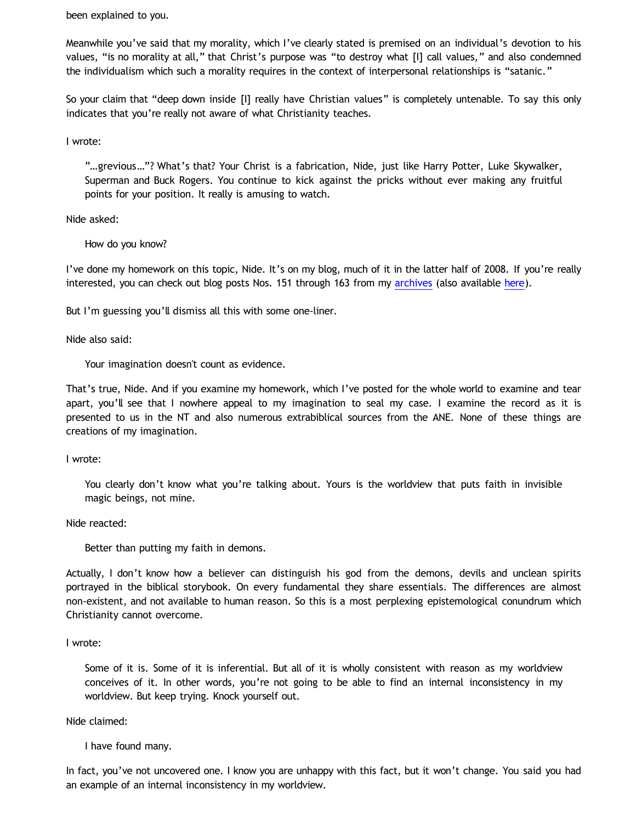been explained to you.

Meanwhile you've said that my morality, which I've clearly stated is premised on an individual's devotion to his values, "is no morality at all," that Christ's purpose was "to destroy what [I] call values," and also condemned the individualism which such a morality requires in the context of interpersonal relationships is "satanic."

So your claim that "deep down inside [I] really have Christian values" is completely untenable. To say this only indicates that you're really not aware of what Christianity teaches.

I wrote:

"…grevious…"? What's that? Your Christ is a fabrication, Nide, just like Harry Potter, Luke Skywalker, Superman and Buck Rogers. You continue to kick against the pricks without ever making any fruitful points for your position. It really is amusing to watch.

Nide asked:

How do you know?

I've done my homework on this topic, Nide. It's on my blog, much of it in the latter half of 2008. If you're really interested, you can check out blog posts Nos. 151 through 163 from my [archives](http://www.katholon.com/ip.htm) (also available [here\)](http://bahnsenburner.blogspot.com/2009/03/incinerating-presuppositionalism-year.html).

But I'm guessing you'll dismiss all this with some one-liner.

Nide also said:

Your imagination doesn't count as evidence.

That's true, Nide. And if you examine my homework, which I've posted for the whole world to examine and tear apart, you'll see that I nowhere appeal to my imagination to seal my case. I examine the record as it is presented to us in the NT and also numerous extrabiblical sources from the ANE. None of these things are creations of my imagination.

I wrote:

You clearly don't know what you're talking about. Yours is the worldview that puts faith in invisible magic beings, not mine.

Nide reacted:

Better than putting my faith in demons.

Actually, I don't know how a believer can distinguish his god from the demons, devils and unclean spirits portrayed in the biblical storybook. On every fundamental they share essentials. The differences are almost non-existent, and not available to human reason. So this is a most perplexing epistemological conundrum which Christianity cannot overcome.

I wrote:

Some of it is. Some of it is inferential. But all of it is wholly consistent with reason as my worldview conceives of it. In other words, you're not going to be able to find an internal inconsistency in my worldview. But keep trying. Knock yourself out.

Nide claimed:

I have found many.

In fact, you've not uncovered one. I know you are unhappy with this fact, but it won't change. You said you had an example of an internal inconsistency in my worldview.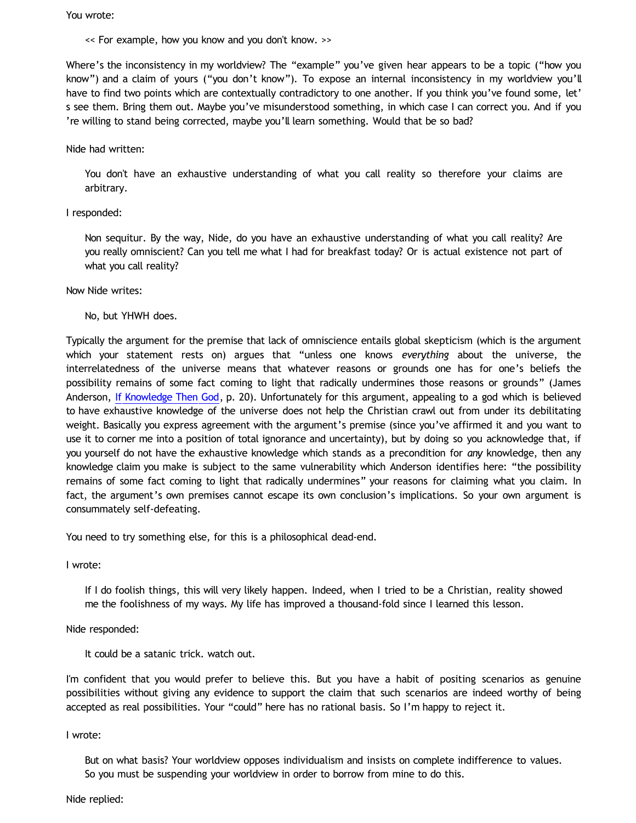You wrote:

<< For example, how you know and you don't know. >>

Where's the inconsistency in my worldview? The "example" you've given hear appears to be a topic ("how you know") and a claim of yours ("you don't know"). To expose an internal inconsistency in my worldview you'll have to find two points which are contextually contradictory to one another. If you think you've found some, let' s see them. Bring them out. Maybe you've misunderstood something, in which case I can correct you. And if you 're willing to stand being corrected, maybe you'll learn something. Would that be so bad?

### Nide had written:

You don't have an exhaustive understanding of what you call reality so therefore your claims are arbitrary.

#### I responded:

Non sequitur. By the way, Nide, do you have an exhaustive understanding of what you call reality? Are you really omniscient? Can you tell me what I had for breakfast today? Or is actual existence not part of what you call reality?

#### Now Nide writes:

No, but YHWH does.

Typically the argument for the premise that lack of omniscience entails global skepticism (which is the argument which your statement rests on) argues that "unless one knows *everything* about the universe, the interrelatedness of the universe means that whatever reasons or grounds one has for one's beliefs the possibility remains of some fact coming to light that radically undermines those reasons or grounds" (James Anderson, [If Knowledge Then God,](http://www.proginosko.com/docs/If_Knowledge_Then_God.pdf) p. 20). Unfortunately for this argument, appealing to a god which is believed to have exhaustive knowledge of the universe does not help the Christian crawl out from under its debilitating weight. Basically you express agreement with the argument's premise (since you've affirmed it and you want to use it to corner me into a position of total ignorance and uncertainty), but by doing so you acknowledge that, if you yourself do not have the exhaustive knowledge which stands as a precondition for *any* knowledge, then any knowledge claim you make is subject to the same vulnerability which Anderson identifies here: "the possibility remains of some fact coming to light that radically undermines" your reasons for claiming what you claim. In fact, the argument's own premises cannot escape its own conclusion's implications. So your own argument is consummately self-defeating.

You need to try something else, for this is a philosophical dead-end.

I wrote:

If I do foolish things, this will very likely happen. Indeed, when I tried to be a Christian, reality showed me the foolishness of my ways. My life has improved a thousand-fold since I learned this lesson.

Nide responded:

It could be a satanic trick. watch out.

I'm confident that you would prefer to believe this. But you have a habit of positing scenarios as genuine possibilities without giving any evidence to support the claim that such scenarios are indeed worthy of being accepted as real possibilities. Your "could" here has no rational basis. So I'm happy to reject it.

I wrote:

But on what basis? Your worldview opposes individualism and insists on complete indifference to values. So you must be suspending your worldview in order to borrow from mine to do this.

Nide replied: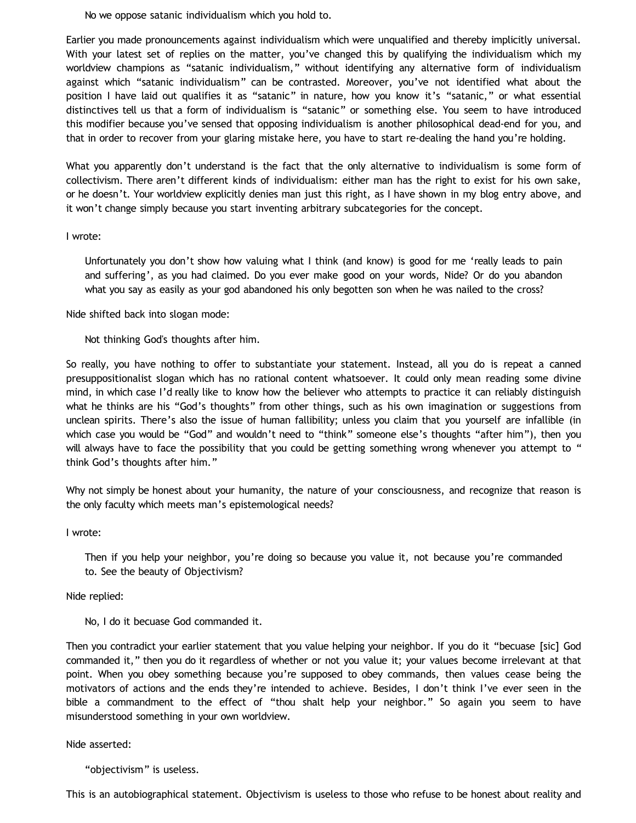No we oppose satanic individualism which you hold to.

Earlier you made pronouncements against individualism which were unqualified and thereby implicitly universal. With your latest set of replies on the matter, you've changed this by qualifying the individualism which my worldview champions as "satanic individualism," without identifying any alternative form of individualism against which "satanic individualism" can be contrasted. Moreover, you've not identified what about the position I have laid out qualifies it as "satanic" in nature, how you know it's "satanic," or what essential distinctives tell us that a form of individualism is "satanic" or something else. You seem to have introduced this modifier because you've sensed that opposing individualism is another philosophical dead-end for you, and that in order to recover from your glaring mistake here, you have to start re-dealing the hand you're holding.

What you apparently don't understand is the fact that the only alternative to individualism is some form of collectivism. There aren't different kinds of individualism: either man has the right to exist for his own sake, or he doesn't. Your worldview explicitly denies man just this right, as I have shown in my blog entry above, and it won't change simply because you start inventing arbitrary subcategories for the concept.

## I wrote:

Unfortunately you don't show how valuing what I think (and know) is good for me 'really leads to pain and suffering', as you had claimed. Do you ever make good on your words, Nide? Or do you abandon what you say as easily as your god abandoned his only begotten son when he was nailed to the cross?

Nide shifted back into slogan mode:

Not thinking God's thoughts after him.

So really, you have nothing to offer to substantiate your statement. Instead, all you do is repeat a canned presuppositionalist slogan which has no rational content whatsoever. It could only mean reading some divine mind, in which case I'd really like to know how the believer who attempts to practice it can reliably distinguish what he thinks are his "God's thoughts" from other things, such as his own imagination or suggestions from unclean spirits. There's also the issue of human fallibility; unless you claim that you yourself are infallible (in which case you would be "God" and wouldn't need to "think" someone else's thoughts "after him"), then you will always have to face the possibility that you could be getting something wrong whenever you attempt to " think God's thoughts after him."

Why not simply be honest about your humanity, the nature of your consciousness, and recognize that reason is the only faculty which meets man's epistemological needs?

### I wrote:

Then if you help your neighbor, you're doing so because you value it, not because you're commanded to. See the beauty of Objectivism?

Nide replied:

No, I do it becuase God commanded it.

Then you contradict your earlier statement that you value helping your neighbor. If you do it "becuase [sic] God commanded it," then you do it regardless of whether or not you value it; your values become irrelevant at that point. When you obey something because you're supposed to obey commands, then values cease being the motivators of actions and the ends they're intended to achieve. Besides, I don't think I've ever seen in the bible a commandment to the effect of "thou shalt help your neighbor." So again you seem to have misunderstood something in your own worldview.

### Nide asserted:

"objectivism" is useless.

This is an autobiographical statement. Objectivism is useless to those who refuse to be honest about reality and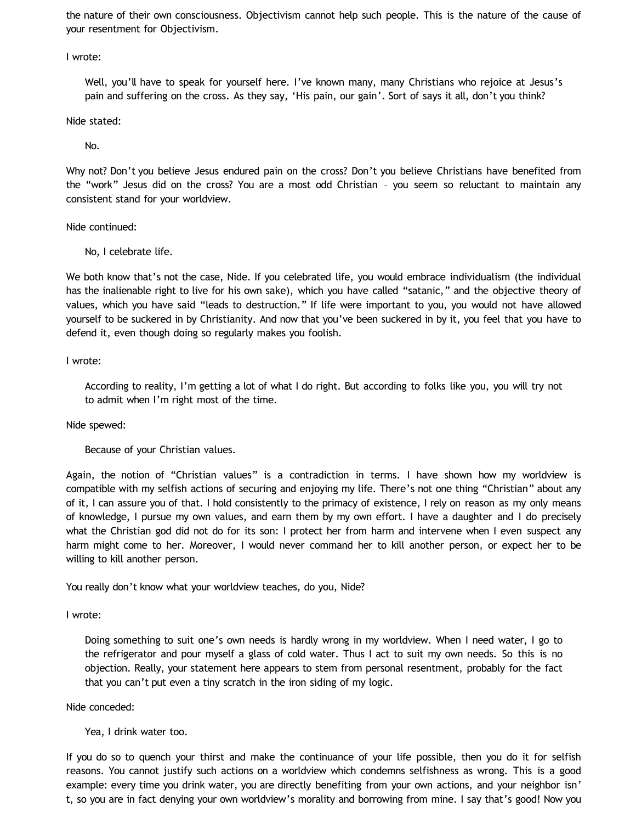the nature of their own consciousness. Objectivism cannot help such people. This is the nature of the cause of your resentment for Objectivism.

I wrote:

Well, you'll have to speak for yourself here. I've known many, many Christians who rejoice at Jesus's pain and suffering on the cross. As they say, 'His pain, our gain'. Sort of says it all, don't you think?

Nide stated:

No.

Why not? Don't you believe Jesus endured pain on the cross? Don't you believe Christians have benefited from the "work" Jesus did on the cross? You are a most odd Christian – you seem so reluctant to maintain any consistent stand for your worldview.

Nide continued:

No, I celebrate life.

We both know that's not the case, Nide. If you celebrated life, you would embrace individualism (the individual has the inalienable right to live for his own sake), which you have called "satanic," and the objective theory of values, which you have said "leads to destruction." If life were important to you, you would not have allowed yourself to be suckered in by Christianity. And now that you've been suckered in by it, you feel that you have to defend it, even though doing so regularly makes you foolish.

I wrote:

According to reality, I'm getting a lot of what I do right. But according to folks like you, you will try not to admit when I'm right most of the time.

Nide spewed:

Because of your Christian values.

Again, the notion of "Christian values" is a contradiction in terms. I have shown how my worldview is compatible with my selfish actions of securing and enjoying my life. There's not one thing "Christian" about any of it, I can assure you of that. I hold consistently to the primacy of existence, I rely on reason as my only means of knowledge, I pursue my own values, and earn them by my own effort. I have a daughter and I do precisely what the Christian god did not do for its son: I protect her from harm and intervene when I even suspect any harm might come to her. Moreover, I would never command her to kill another person, or expect her to be willing to kill another person.

You really don't know what your worldview teaches, do you, Nide?

I wrote:

Doing something to suit one's own needs is hardly wrong in my worldview. When I need water, I go to the refrigerator and pour myself a glass of cold water. Thus I act to suit my own needs. So this is no objection. Really, your statement here appears to stem from personal resentment, probably for the fact that you can't put even a tiny scratch in the iron siding of my logic.

Nide conceded:

Yea, I drink water too.

If you do so to quench your thirst and make the continuance of your life possible, then you do it for selfish reasons. You cannot justify such actions on a worldview which condemns selfishness as wrong. This is a good example: every time you drink water, you are directly benefiting from your own actions, and your neighbor isn' t, so you are in fact denying your own worldview's morality and borrowing from mine. I say that's good! Now you